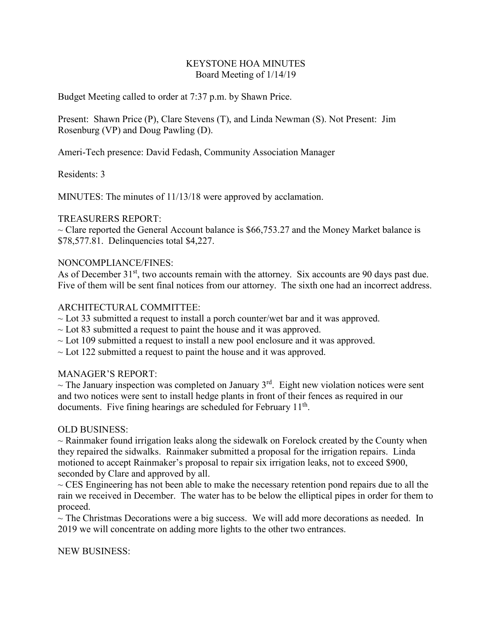## KEYSTONE HOA MINUTES Board Meeting of 1/14/19

Budget Meeting called to order at 7:37 p.m. by Shawn Price.

Present: Shawn Price (P), Clare Stevens (T), and Linda Newman (S). Not Present: Jim Rosenburg (VP) and Doug Pawling (D).

Ameri-Tech presence: David Fedash, Community Association Manager

Residents: 3

MINUTES: The minutes of 11/13/18 were approved by acclamation.

## TREASURERS REPORT:

 $\sim$  Clare reported the General Account balance is \$66,753.27 and the Money Market balance is \$78,577.81. Delinquencies total \$4,227.

# NONCOMPLIANCE/FINES:

As of December  $31<sup>st</sup>$ , two accounts remain with the attorney. Six accounts are 90 days past due. Five of them will be sent final notices from our attorney. The sixth one had an incorrect address.

# ARCHITECTURAL COMMITTEE:

- $\sim$  Lot 33 submitted a request to install a porch counter/wet bar and it was approved.
- $\sim$  Lot 83 submitted a request to paint the house and it was approved.
- $\sim$  Lot 109 submitted a request to install a new pool enclosure and it was approved.
- $\sim$  Lot 122 submitted a request to paint the house and it was approved.

## MANAGER'S REPORT:

 $\sim$  The January inspection was completed on January 3<sup>rd</sup>. Eight new violation notices were sent and two notices were sent to install hedge plants in front of their fences as required in our documents. Five fining hearings are scheduled for February 11<sup>th</sup>.

## OLD BUSINESS:

 $\sim$  Rainmaker found irrigation leaks along the sidewalk on Forelock created by the County when they repaired the sidwalks. Rainmaker submitted a proposal for the irrigation repairs. Linda motioned to accept Rainmaker's proposal to repair six irrigation leaks, not to exceed \$900, seconded by Clare and approved by all.

 $\sim$  CES Engineering has not been able to make the necessary retention pond repairs due to all the rain we received in December. The water has to be below the elliptical pipes in order for them to proceed.

 $\sim$  The Christmas Decorations were a big success. We will add more decorations as needed. In 2019 we will concentrate on adding more lights to the other two entrances.

NEW BUSINESS: